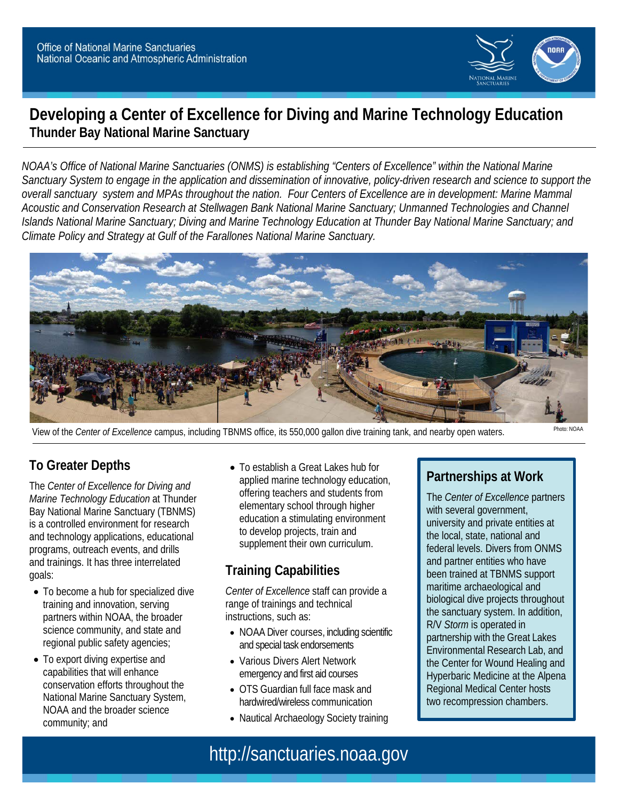

## **Developing a Center of Excellence for Diving and Marine Technology Education Thunder Bay National Marine Sanctuary**

*NOAA's Office of National Marine Sanctuaries (ONMS) is establishing "Centers of Excellence" within the National Marine Sanctuary System to engage in the application and dissemination of innovative, policy-driven research and science to support the overall sanctuary system and MPAs throughout the nation. Four Centers of Excellence are in development: Marine Mammal Acoustic and Conservation Research at Stellwagen Bank National Marine Sanctuary; Unmanned Technologies and Channel Islands National Marine Sanctuary; Diving and Marine Technology Education at Thunder Bay National Marine Sanctuary; and Climate Policy and Strategy at Gulf of the Farallones National Marine Sanctuary.*



View of the *Center of Excellence* campus, including TBNMS office, its 550,000 gallon dive training tank, and nearby open waters.

#### **To Greater Depths**

The *Center of Excellence for Diving and Marine Technology Education* at Thunder Bay National Marine Sanctuary (TBNMS) is a controlled environment for research and technology applications, educational programs, outreach events, and drills and trainings. It has three interrelated goals:

- To become a hub for specialized dive training and innovation, serving partners within NOAA, the broader science community, and state and regional public safety agencies;
- To export diving expertise and capabilities that will enhance conservation efforts throughout the National Marine Sanctuary System, NOAA and the broader science community; and

• To establish a Great Lakes hub for applied marine technology education, offering teachers and students from elementary school through higher education a stimulating environment to develop projects, train and supplement their own curriculum.

#### **Training Capabilities**

*Center of Excellence* staff can provide a range of trainings and technical instructions, such as:

- NOAA Diver courses, including scientific and special task endorsements
- Various Divers Alert Network emergency and first aid courses
- OTS Guardian full face mask and hardwired/wireless communication
- Nautical Archaeology Society training

#### **Partnerships at Work**

The *Center of Excellence* partners with several government, university and private entities at the local, state, national and federal levels. Divers from ONMS and partner entities who have been trained at TBNMS support maritime archaeological and biological dive projects throughout the sanctuary system. In addition, R/V *Storm* is operated in partnership with the Great Lakes Environmental Research Lab, and the Center for Wound Healing and Hyperbaric Medicine at the Alpena Regional Medical Center hosts two recompression chambers.

# http://sanctuaries.noaa.gov